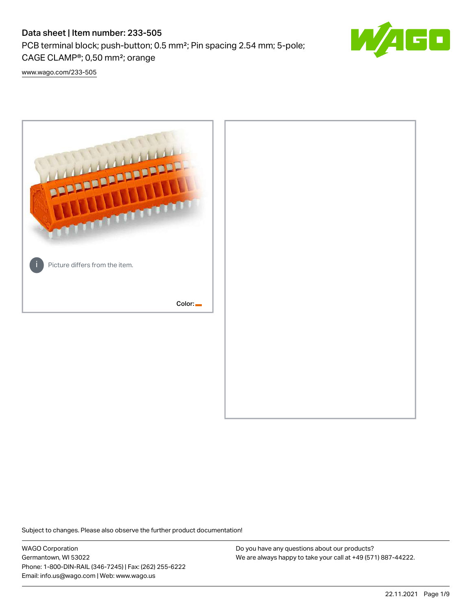# Data sheet | Item number: 233-505

PCB terminal block; push-button; 0.5 mm²; Pin spacing 2.54 mm; 5-pole; CAGE CLAMP®; 0,50 mm²; orange



[www.wago.com/233-505](http://www.wago.com/233-505)



Subject to changes. Please also observe the further product documentation!

WAGO Corporation Germantown, WI 53022 Phone: 1-800-DIN-RAIL (346-7245) | Fax: (262) 255-6222 Email: info.us@wago.com | Web: www.wago.us

Do you have any questions about our products? We are always happy to take your call at +49 (571) 887-44222.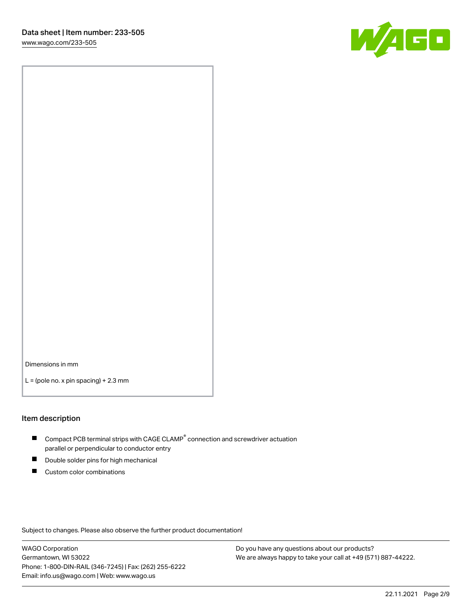

Dimensions in mm

 $L =$  (pole no. x pin spacing) + 2.3 mm

#### Item description

- $\blacksquare$  Compact PCB terminal strips with CAGE CLAMP<sup>®</sup> connection and screwdriver actuation parallel or perpendicular to conductor entry
- П Double solder pins for high mechanical
- $\blacksquare$ Custom color combinations

Subject to changes. Please also observe the further product documentation!

WAGO Corporation Germantown, WI 53022 Phone: 1-800-DIN-RAIL (346-7245) | Fax: (262) 255-6222 Email: info.us@wago.com | Web: www.wago.us

Do you have any questions about our products? We are always happy to take your call at +49 (571) 887-44222.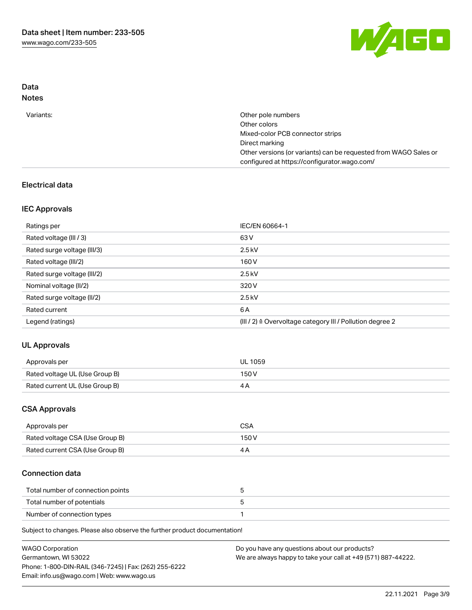

## Data Notes

| Variants: | Other pole numbers                                               |
|-----------|------------------------------------------------------------------|
|           | Other colors                                                     |
|           | Mixed-color PCB connector strips                                 |
|           | Direct marking                                                   |
|           | Other versions (or variants) can be requested from WAGO Sales or |
|           | configured at https://configurator.wago.com/                     |

## Electrical data

## IEC Approvals

| Ratings per                 | IEC/EN 60664-1                                                        |
|-----------------------------|-----------------------------------------------------------------------|
| Rated voltage (III / 3)     | 63 V                                                                  |
| Rated surge voltage (III/3) | $2.5$ kV                                                              |
| Rated voltage (III/2)       | 160 V                                                                 |
| Rated surge voltage (III/2) | $2.5$ kV                                                              |
| Nominal voltage (II/2)      | 320 V                                                                 |
| Rated surge voltage (II/2)  | $2.5$ kV                                                              |
| Rated current               | 6 A                                                                   |
| Legend (ratings)            | $(III / 2)$ $\triangle$ Overvoltage category III / Pollution degree 2 |

# UL Approvals

| Approvals per                  | <b>UL 1059</b> |
|--------------------------------|----------------|
| Rated voltage UL (Use Group B) | 150V           |
| Rated current UL (Use Group B) |                |

### CSA Approvals

| Approvals per                   | CSA   |
|---------------------------------|-------|
| Rated voltage CSA (Use Group B) | 150 V |
| Rated current CSA (Use Group B) |       |

## Connection data

| Total number of connection points |  |
|-----------------------------------|--|
| Total number of potentials        |  |
| Number of connection types        |  |

Subject to changes. Please also observe the further product documentation!

| <b>WAGO Corporation</b>                                | Do you have any questions about our products?                 |
|--------------------------------------------------------|---------------------------------------------------------------|
| Germantown, WI 53022                                   | We are always happy to take your call at +49 (571) 887-44222. |
| Phone: 1-800-DIN-RAIL (346-7245)   Fax: (262) 255-6222 |                                                               |
| Email: info.us@wago.com   Web: www.wago.us             |                                                               |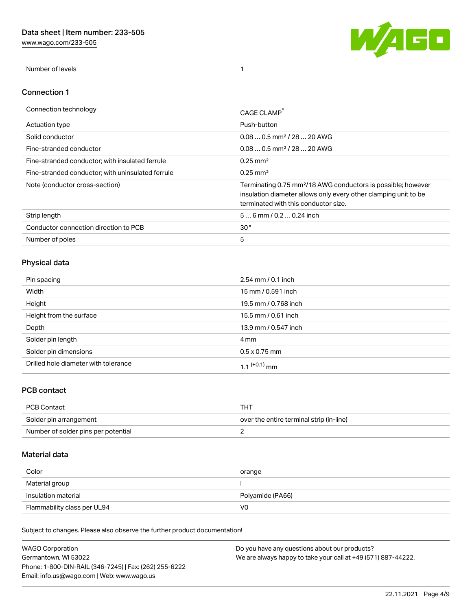[www.wago.com/233-505](http://www.wago.com/233-505)



Number of levels 1

### Connection 1

| Connection technology                             | CAGE CLAMP                                                                                                                                                                          |
|---------------------------------------------------|-------------------------------------------------------------------------------------------------------------------------------------------------------------------------------------|
| <b>Actuation type</b>                             | Push-button                                                                                                                                                                         |
| Solid conductor                                   | $0.080.5$ mm <sup>2</sup> / 28  20 AWG                                                                                                                                              |
| Fine-stranded conductor                           | $0.080.5$ mm <sup>2</sup> / 28  20 AWG                                                                                                                                              |
| Fine-stranded conductor; with insulated ferrule   | $0.25 \text{ mm}^2$                                                                                                                                                                 |
| Fine-stranded conductor: with uninsulated ferrule | $0.25 \text{ mm}^2$                                                                                                                                                                 |
| Note (conductor cross-section)                    | Terminating 0.75 mm <sup>2</sup> /18 AWG conductors is possible; however<br>insulation diameter allows only every other clamping unit to be<br>terminated with this conductor size. |
| Strip length                                      | $56$ mm / 0.2  0.24 inch                                                                                                                                                            |
| Conductor connection direction to PCB             | 30 <sup>°</sup>                                                                                                                                                                     |
| Number of poles                                   | 5                                                                                                                                                                                   |

# Physical data

| Pin spacing                          | $2.54 \, \text{mm}$ / 0.1 inch |
|--------------------------------------|--------------------------------|
| Width                                | 15 mm / 0.591 inch             |
| Height                               | 19.5 mm / 0.768 inch           |
| Height from the surface              | 15.5 mm / 0.61 inch            |
| Depth                                | 13.9 mm / 0.547 inch           |
| Solder pin length                    | 4 mm                           |
| Solder pin dimensions                | $0.5 \times 0.75$ mm           |
| Drilled hole diameter with tolerance | 1 1 $(+0.1)$ mm                |

# PCB contact

| PCB Contact                         | THT                                      |
|-------------------------------------|------------------------------------------|
| Solder pin arrangement              | over the entire terminal strip (in-line) |
| Number of solder pins per potential |                                          |

# Material data

| Color               | orange           |
|---------------------|------------------|
| Material group      |                  |
| Insulation material |                  |
|                     | Polyamide (PA66) |

Subject to changes. Please also observe the further product documentation!

| <b>WAGO Corporation</b>                                | Do you have any questions about our products?                 |
|--------------------------------------------------------|---------------------------------------------------------------|
| Germantown, WI 53022                                   | We are always happy to take your call at +49 (571) 887-44222. |
| Phone: 1-800-DIN-RAIL (346-7245)   Fax: (262) 255-6222 |                                                               |
| Email: info.us@wago.com   Web: www.wago.us             |                                                               |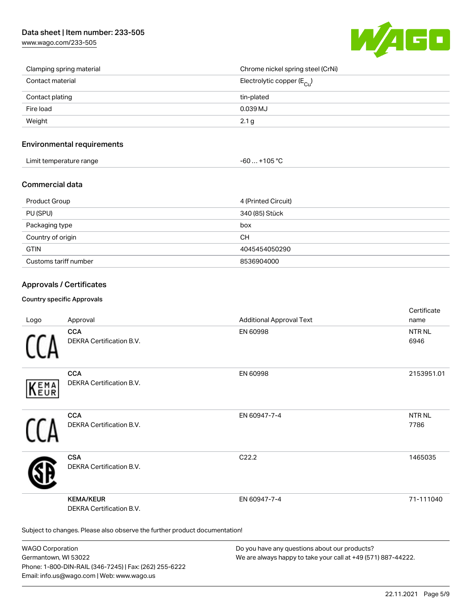# Data sheet | Item number: 233-505

[www.wago.com/233-505](http://www.wago.com/233-505)



| Clamping spring material | Chrome nickel spring steel (CrNi)       |
|--------------------------|-----------------------------------------|
| Contact material         | Electrolytic copper ( $E_{\text{Cl}}$ ) |
| Contact plating          | tin-plated                              |
| Fire load                | 0.039 MJ                                |
| Weight                   | 2.1 g                                   |

### Environmental requirements

| Limit temperature range | 1000<br>nos<br>-n |  |
|-------------------------|-------------------|--|
|-------------------------|-------------------|--|

### Commercial data

| Product Group         | 4 (Printed Circuit) |
|-----------------------|---------------------|
| PU (SPU)              | 340 (85) Stück      |
| Packaging type        | box                 |
| Country of origin     | CН                  |
| <b>GTIN</b>           | 4045454050290       |
| Customs tariff number | 8536904000          |

### Approvals / Certificates

#### Country specific Approvals

| Logo       | Approval                                                                   | <b>Additional Approval Text</b> | Certificate<br>name   |
|------------|----------------------------------------------------------------------------|---------------------------------|-----------------------|
|            | <b>CCA</b><br>DEKRA Certification B.V.                                     | EN 60998                        | <b>NTR NL</b><br>6946 |
| EMA<br>EUR | <b>CCA</b><br>DEKRA Certification B.V.                                     | EN 60998                        | 2153951.01            |
|            | <b>CCA</b><br>DEKRA Certification B.V.                                     | EN 60947-7-4                    | <b>NTRNL</b><br>7786  |
|            | <b>CSA</b><br>DEKRA Certification B.V.                                     | C <sub>22.2</sub>               | 1465035               |
|            | <b>KEMA/KEUR</b><br><b>DEKRA Certification B.V.</b>                        | EN 60947-7-4                    | 71-111040             |
|            | Subject to changes. Please also observe the further product documentation! |                                 |                       |

WAGO Corporation Germantown, WI 53022 Phone: 1-800-DIN-RAIL (346-7245) | Fax: (262) 255-6222 Email: info.us@wago.com | Web: www.wago.us

Do you have any questions about our products? We are always happy to take your call at +49 (571) 887-44222.

 $C$  cattle at  $\epsilon$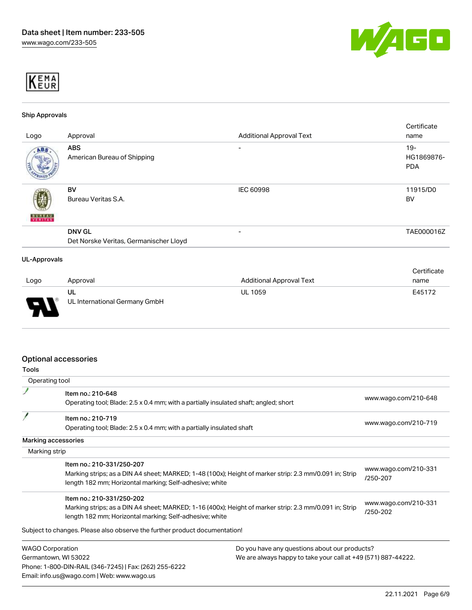



### Ship Approvals

|               |                                        |                                 | Certificate |
|---------------|----------------------------------------|---------------------------------|-------------|
| Logo          | Approval                               | <b>Additional Approval Text</b> | name        |
| ABS.          | <b>ABS</b>                             | $\qquad \qquad$                 | $19 -$      |
|               | American Bureau of Shipping            |                                 | HG1869876-  |
|               |                                        |                                 | <b>PDA</b>  |
|               |                                        |                                 |             |
|               | BV                                     | <b>IEC 60998</b>                | 11915/D0    |
|               | Bureau Veritas S.A.                    |                                 | <b>BV</b>   |
|               |                                        |                                 |             |
| <b>BUREAU</b> |                                        |                                 |             |
|               | <b>DNV GL</b>                          | $\overline{\phantom{0}}$        | TAE000016Z  |
|               | Det Norske Veritas, Germanischer Lloyd |                                 |             |
|               |                                        |                                 |             |
| UL-Approvals  |                                        |                                 |             |
|               |                                        |                                 | Certificate |

|                |                                     |                                 | --------- |
|----------------|-------------------------------------|---------------------------------|-----------|
| Logo           | Approval                            | <b>Additional Approval Text</b> | name      |
| $\blacksquare$ | UL<br>UL International Germany GmbH | <b>UL 1059</b>                  | E45172    |

### Optional accessories

Email: info.us@wago.com | Web: www.wago.us

| <b>Tools</b>  |                                                                                                                                                                                                |                                                               |                                  |
|---------------|------------------------------------------------------------------------------------------------------------------------------------------------------------------------------------------------|---------------------------------------------------------------|----------------------------------|
|               | Operating tool                                                                                                                                                                                 |                                                               |                                  |
|               | Item no.: 210-648<br>Operating tool; Blade: 2.5 x 0.4 mm; with a partially insulated shaft; angled; short                                                                                      |                                                               | www.wago.com/210-648             |
|               | Item no.: 210-719<br>Operating tool; Blade: 2.5 x 0.4 mm; with a partially insulated shaft                                                                                                     |                                                               | www.wago.com/210-719             |
|               | Marking accessories                                                                                                                                                                            |                                                               |                                  |
| Marking strip |                                                                                                                                                                                                |                                                               |                                  |
|               | Item no.: 210-331/250-207<br>Marking strips; as a DIN A4 sheet; MARKED; 1-48 (100x); Height of marker strip: 2.3 mm/0.091 in; Strip<br>length 182 mm; Horizontal marking; Self-adhesive; white |                                                               | www.wago.com/210-331<br>/250-207 |
|               | Item no.: 210-331/250-202<br>Marking strips; as a DIN A4 sheet; MARKED; 1-16 (400x); Height of marker strip: 2.3 mm/0.091 in; Strip<br>length 182 mm; Horizontal marking; Self-adhesive; white |                                                               | www.wago.com/210-331<br>/250-202 |
|               | Subject to changes. Please also observe the further product documentation!                                                                                                                     |                                                               |                                  |
|               | <b>WAGO Corporation</b>                                                                                                                                                                        | Do you have any questions about our products?                 |                                  |
|               | Germantown, WI 53022<br>Phone: 1-800-DIN-RAIL (346-7245)   Fax: (262) 255-6222                                                                                                                 | We are always happy to take your call at +49 (571) 887-44222. |                                  |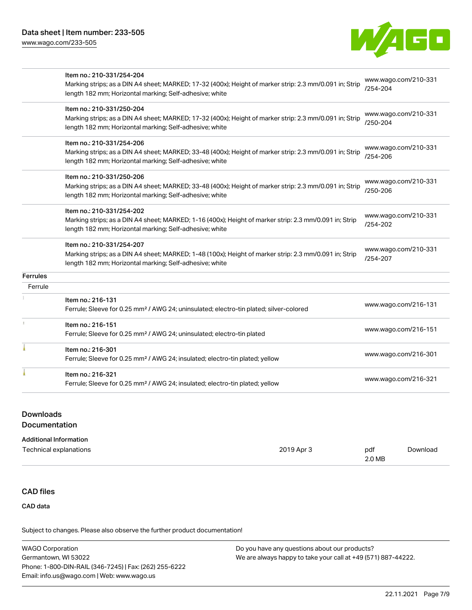

|                 | Item no.: 210-331/254-204<br>Marking strips; as a DIN A4 sheet; MARKED; 17-32 (400x); Height of marker strip: 2.3 mm/0.091 in; Strip<br>length 182 mm; Horizontal marking; Self-adhesive; white | www.wago.com/210-331<br>$/254 - 204$ |
|-----------------|-------------------------------------------------------------------------------------------------------------------------------------------------------------------------------------------------|--------------------------------------|
|                 | Item no.: 210-331/250-204<br>Marking strips; as a DIN A4 sheet; MARKED; 17-32 (400x); Height of marker strip: 2.3 mm/0.091 in; Strip<br>length 182 mm; Horizontal marking; Self-adhesive; white | www.wago.com/210-331<br>/250-204     |
|                 | Item no.: 210-331/254-206<br>Marking strips; as a DIN A4 sheet; MARKED; 33-48 (400x); Height of marker strip: 2.3 mm/0.091 in; Strip<br>length 182 mm; Horizontal marking; Self-adhesive; white | www.wago.com/210-331<br>/254-206     |
|                 | Item no.: 210-331/250-206<br>Marking strips; as a DIN A4 sheet; MARKED; 33-48 (400x); Height of marker strip: 2.3 mm/0.091 in; Strip<br>length 182 mm; Horizontal marking; Self-adhesive; white | www.wago.com/210-331<br>/250-206     |
|                 | Item no.: 210-331/254-202<br>Marking strips; as a DIN A4 sheet; MARKED; 1-16 (400x); Height of marker strip: 2.3 mm/0.091 in; Strip<br>length 182 mm; Horizontal marking; Self-adhesive; white  | www.wago.com/210-331<br>/254-202     |
|                 | Item no.: 210-331/254-207<br>Marking strips; as a DIN A4 sheet; MARKED; 1-48 (100x); Height of marker strip: 2.3 mm/0.091 in; Strip<br>length 182 mm; Horizontal marking; Self-adhesive; white  | www.wago.com/210-331<br>/254-207     |
| <b>Ferrules</b> |                                                                                                                                                                                                 |                                      |
| Ferrule         |                                                                                                                                                                                                 |                                      |
|                 | Item no.: 216-131<br>Ferrule; Sleeve for 0.25 mm <sup>2</sup> / AWG 24; uninsulated; electro-tin plated; silver-colored                                                                         | www.wago.com/216-131                 |
| 1               | Item no.: 216-151<br>Ferrule; Sleeve for 0.25 mm <sup>2</sup> / AWG 24; uninsulated; electro-tin plated                                                                                         | www.wago.com/216-151                 |
|                 | Item no.: 216-301<br>Ferrule; Sleeve for 0.25 mm <sup>2</sup> / AWG 24; insulated; electro-tin plated; yellow                                                                                   | www.wago.com/216-301                 |
|                 | Item no.: 216-321<br>Ferrule; Sleeve for 0.25 mm <sup>2</sup> / AWG 24; insulated; electro-tin plated; yellow                                                                                   | www.wago.com/216-321                 |

## Downloads

### Documentation

| Technical explanations | 2019 Apr 3 | pdf    | Download |
|------------------------|------------|--------|----------|
|                        |            | 2.0 MB |          |

## CAD files

CAD data

Subject to changes. Please also observe the further product documentation!

| <b>WAGO Corporation</b>                                | Do you have any questions about our products?                 |
|--------------------------------------------------------|---------------------------------------------------------------|
| Germantown, WI 53022                                   | We are always happy to take your call at +49 (571) 887-44222. |
| Phone: 1-800-DIN-RAIL (346-7245)   Fax: (262) 255-6222 |                                                               |
| Email: info.us@wago.com   Web: www.wago.us             |                                                               |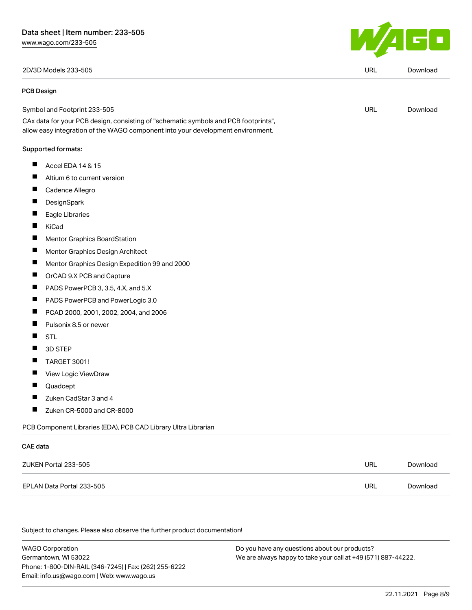

| 2D/3D Models 233-505                                                                                                                                                   |            | Download |
|------------------------------------------------------------------------------------------------------------------------------------------------------------------------|------------|----------|
| <b>PCB Design</b>                                                                                                                                                      |            |          |
| Symbol and Footprint 233-505                                                                                                                                           | URL        | Download |
| CAx data for your PCB design, consisting of "schematic symbols and PCB footprints",<br>allow easy integration of the WAGO component into your development environment. |            |          |
| Supported formats:                                                                                                                                                     |            |          |
| ш<br>Accel EDA 14 & 15                                                                                                                                                 |            |          |
| Altium 6 to current version<br>ш                                                                                                                                       |            |          |
| Ш<br>Cadence Allegro                                                                                                                                                   |            |          |
| DesignSpark                                                                                                                                                            |            |          |
| Eagle Libraries                                                                                                                                                        |            |          |
| П<br>KiCad                                                                                                                                                             |            |          |
| П<br>Mentor Graphics BoardStation                                                                                                                                      |            |          |
| $\overline{\phantom{a}}$<br>Mentor Graphics Design Architect                                                                                                           |            |          |
| ш<br>Mentor Graphics Design Expedition 99 and 2000                                                                                                                     |            |          |
| $\blacksquare$<br>OrCAD 9.X PCB and Capture                                                                                                                            |            |          |
| ш<br>PADS PowerPCB 3, 3.5, 4.X, and 5.X                                                                                                                                |            |          |
| $\blacksquare$<br>PADS PowerPCB and PowerLogic 3.0                                                                                                                     |            |          |
| ш<br>PCAD 2000, 2001, 2002, 2004, and 2006                                                                                                                             |            |          |
| Ш<br>Pulsonix 8.5 or newer                                                                                                                                             |            |          |
| Ш<br><b>STL</b>                                                                                                                                                        |            |          |
| 3D STEP<br>Ш                                                                                                                                                           |            |          |
| Ш<br><b>TARGET 3001!</b>                                                                                                                                               |            |          |
| View Logic ViewDraw                                                                                                                                                    |            |          |
| Quadcept                                                                                                                                                               |            |          |
| Zuken CadStar 3 and 4<br>ш                                                                                                                                             |            |          |
| ш<br>Zuken CR-5000 and CR-8000                                                                                                                                         |            |          |
| PCB Component Libraries (EDA), PCB CAD Library Ultra Librarian                                                                                                         |            |          |
| <b>CAE</b> data                                                                                                                                                        |            |          |
| ZUKEN Portal 233-505                                                                                                                                                   | <b>URL</b> | Download |

EPLAN Data Portal 233-505 URL [Download](https://www.wago.com/global/d/EPLAN_URLS_233-505)

Subject to changes. Please also observe the further product documentation!

WAGO Corporation Germantown, WI 53022 Phone: 1-800-DIN-RAIL (346-7245) | Fax: (262) 255-6222 Email: info.us@wago.com | Web: www.wago.us Do you have any questions about our products? We are always happy to take your call at +49 (571) 887-44222.